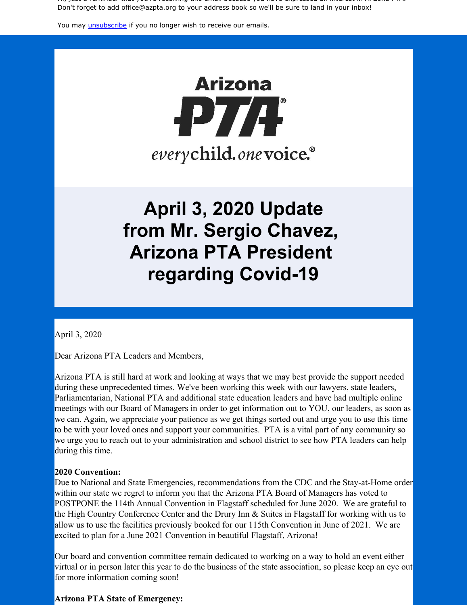Hi, just a reminder that you're receiving this email because you have expressed an interest in Arizona PTA. Don't forget to add office@azpta.org to your address book so we'll be sure to land in your inbox!

You may *[unsubscribe](https://visitor.constantcontact.com/do?p=un&m=0015Ls-oo8gf__TAtUBCd-drA%3D%3D&ch=&ca=07a17b02-0929-4c4b-ba00-a40c2e25c808)* if you no longer wish to receive our emails.

# **Arizona** -P7/F everychild.onevoice.®

# **April 3, 2020 Update from Mr. Sergio Chavez, Arizona PTA President regarding Covid-19**

April 3, 2020

Dear Arizona PTA Leaders and Members,

Arizona PTA is still hard at work and looking at ways that we may best provide the support needed during these unprecedented times. We've been working this week with our lawyers, state leaders, Parliamentarian, National PTA and additional state education leaders and have had multiple online meetings with our Board of Managers in order to get information out to YOU, our leaders, as soon as we can. Again, we appreciate your patience as we get things sorted out and urge you to use this time to be with your loved ones and support your communities. PTA is a vital part of any community so we urge you to reach out to your administration and school district to see how PTA leaders can help during this time.

#### **2020 Convention:**

Due to National and State Emergencies, recommendations from the CDC and the Stay-at-Home order within our state we regret to inform you that the Arizona PTA Board of Managers has voted to POSTPONE the 114th Annual Convention in Flagstaff scheduled for June 2020. We are grateful to the High Country Conference Center and the Drury Inn & Suites in Flagstaff for working with us to allow us to use the facilities previously booked for our 115th Convention in June of 2021. We are excited to plan for a June 2021 Convention in beautiful Flagstaff, Arizona!

Our board and convention committee remain dedicated to working on a way to hold an event either virtual or in person later this year to do the business of the state association, so please keep an eye out for more information coming soon!

#### **Arizona PTA State of Emergency:**